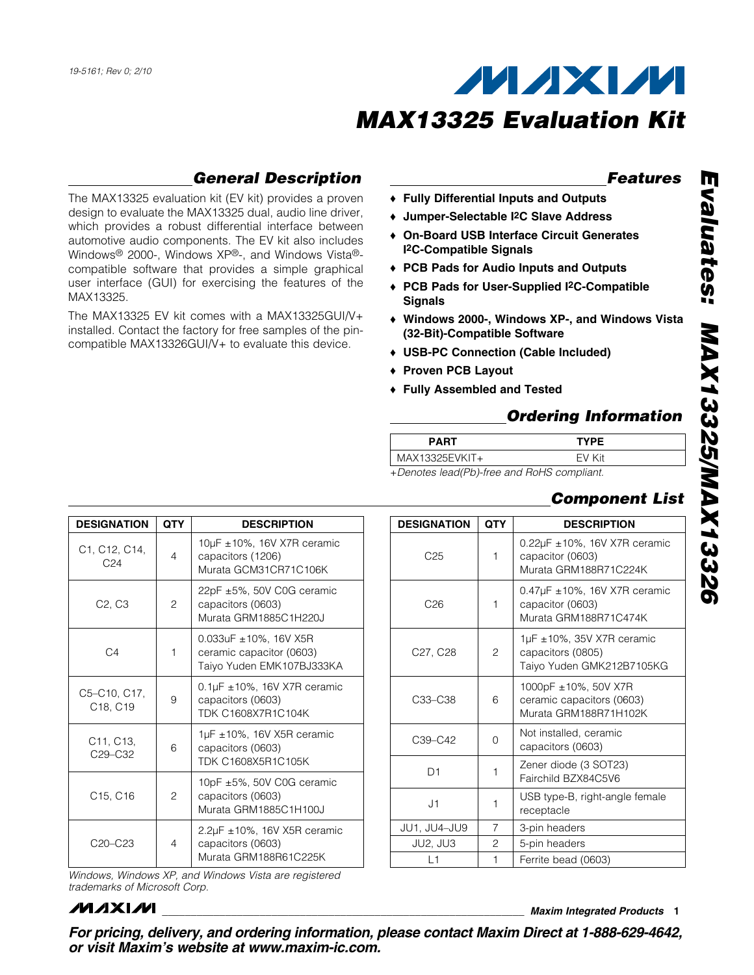## *General Description*

The MAX13325 evaluation kit (EV kit) provides a proven design to evaluate the MAX13325 dual, audio line driver, which provides a robust differential interface between automotive audio components. The EV kit also includes Windows<sup>®</sup> 2000-, Windows XP®-, and Windows Vista®compatible software that provides a simple graphical user interface (GUI) for exercising the features of the MAX13325.

The MAX13325 EV kit comes with a MAX13325GUI/V+ installed. Contact the factory for free samples of the pincompatible MAX13326GUI/V+ to evaluate this device.

### *Features*

- ◆ Fully Differential Inputs and Outputs
- + Jumper-Selectable I<sup>2</sup>C Slave Address
- ◆ On-Board USB Interface Circuit Generates I2C-Compatible Signals
- ◆ PCB Pads for Audio Inputs and Outputs
- ◆ PCB Pads for User-Supplied I<sup>2</sup>C-Compatible **Signals**
- S Windows 2000-, Windows XP-, and Windows Vista (32-Bit)-Compatible Software
- ◆ USB-PC Connection (Cable Included)
- ◆ Proven PCB Layout
- ◆ Fully Assembled and Tested

### *Ordering Information*

| <b>PART</b>    | <b>TYPE</b>   |  |
|----------------|---------------|--|
| MAX13325EVKIT+ | EV Kit        |  |
|                | .<br>$\cdots$ |  |

+*Denotes lead(Pb)-free and RoHS compliant.*

### *Component List*

 $0.22\mu$ F ±10%, 16V X7R ceramic

 $0.47\mu$ F ±10%, 16V X7R ceramic

Murata GRM188R71C224K

Murata GRM188R71C474K

1000pF ±10%, 50V X7R ceramic capacitors (0603) Murata GRM188R71H102K

 $1\mu$ F ± 10%, 35V X7R ceramic

Taiyo Yuden GMK212B7105KG

capacitors (0603)  $\begin{bmatrix} 1 \end{bmatrix}$  Zener diode (3 SOT23) Fairchild BZX84C5V6  $\begin{array}{c|c} \hline \end{array}$  USB type-B, right-angle female

| <b>DESIGNATION</b>                                                                                             | <b>QTY</b>     | <b>DESCRIPTION</b>                                                                                                                                                                                                                                |                | <b>DESIGNATION</b> | <b>QTY</b>                                   | <b>DESCRIPTION</b>                                                     |
|----------------------------------------------------------------------------------------------------------------|----------------|---------------------------------------------------------------------------------------------------------------------------------------------------------------------------------------------------------------------------------------------------|----------------|--------------------|----------------------------------------------|------------------------------------------------------------------------|
| C1, C12, C14,<br>C <sub>24</sub>                                                                               | $\overline{4}$ | 10µF ±10%, 16V X7R ceramic<br>capacitors (1206)<br>Murata GCM31CR71C106K                                                                                                                                                                          |                | C <sub>25</sub>    | 1                                            | 0.22µF ±10%, 16V X7R<br>capacitor (0603)<br>Murata GRM188R71C22        |
| C <sub>2</sub> , C <sub>3</sub>                                                                                | $\overline{c}$ | 22pF ±5%, 50V C0G ceramic<br>capacitors (0603)<br>Murata GRM1885C1H220J<br>0.033uF ±10%, 16V X5R<br>ceramic capacitor (0603)<br>Taiyo Yuden EMK107BJ333KA<br>$0.1 \mu$ F ± 10%, 16V X7R ceramic<br>capacitors (0603)<br><b>TDK C1608X7R1C104K</b> |                | C <sub>26</sub>    |                                              | 0.47µF ±10%, 16V X7R<br>capacitor (0603)<br>Murata GRM188R71C47        |
| C4                                                                                                             | 1              |                                                                                                                                                                                                                                                   |                | C27, C28           | 2                                            | 1µF ±10%, 35V X7R cera<br>capacitors (0805)<br>Taiyo Yuden GMK212B7    |
| C5-C10, C17,<br>C18, C19                                                                                       | 9              |                                                                                                                                                                                                                                                   |                | C33-C38            | 6                                            | 1000pF ±10%, 50V X7R<br>ceramic capacitors (060<br>Murata GRM188R71H10 |
| C11, C13,<br>C <sub>29</sub> -C <sub>32</sub>                                                                  | 6              | 1µF $\pm$ 10%, 16V X5R ceramic<br>capacitors (0603)                                                                                                                                                                                               |                | C39-C42            | $\Omega$                                     | Not installed, ceramic<br>capacitors (0603)                            |
| TDK C1608X5R1C105K<br>10pF ±5%, 50V C0G ceramic<br>C15, C16<br>2<br>capacitors (0603)<br>Murata GRM1885C1H100J |                |                                                                                                                                                                                                                                                   | D <sub>1</sub> | 1                  | Zener diode (3 SOT23)<br>Fairchild BZX84C5V6 |                                                                        |
|                                                                                                                |                |                                                                                                                                                                                                                                                   | J1             | 1                  | USB type-B, right-angle<br>receptacle        |                                                                        |
|                                                                                                                |                | $2.2 \mu$ F ±10%, 16V X5R ceramic                                                                                                                                                                                                                 |                | JU1, JU4-JU9       | $\overline{7}$                               | 3-pin headers                                                          |
| C20-C23                                                                                                        | $\overline{4}$ | capacitors (0603)<br>Murata GRM188R61C225K                                                                                                                                                                                                        |                | JU2, JU3           | $\overline{2}$                               | 5-pin headers                                                          |
|                                                                                                                |                |                                                                                                                                                                                                                                                   |                | L1                 |                                              | Ferrite bead (0603)                                                    |

*Windows, Windows XP, and Windows Vista are registered trademarks of Microsoft Corp.*

### *MAXM*

\_\_\_\_\_\_\_\_\_\_\_\_\_\_\_\_\_\_\_\_\_\_\_\_\_\_\_\_\_\_\_\_\_\_\_\_\_\_\_\_\_\_\_\_\_\_\_\_\_\_\_\_\_\_\_\_\_\_\_\_\_\_\_ *Maxim Integrated Products* 1 *For pricing, delivery, and ordering information, please contact Maxim Direct at 1-888-629-4642, or visit Maxim's website at www.maxim-ic.com.*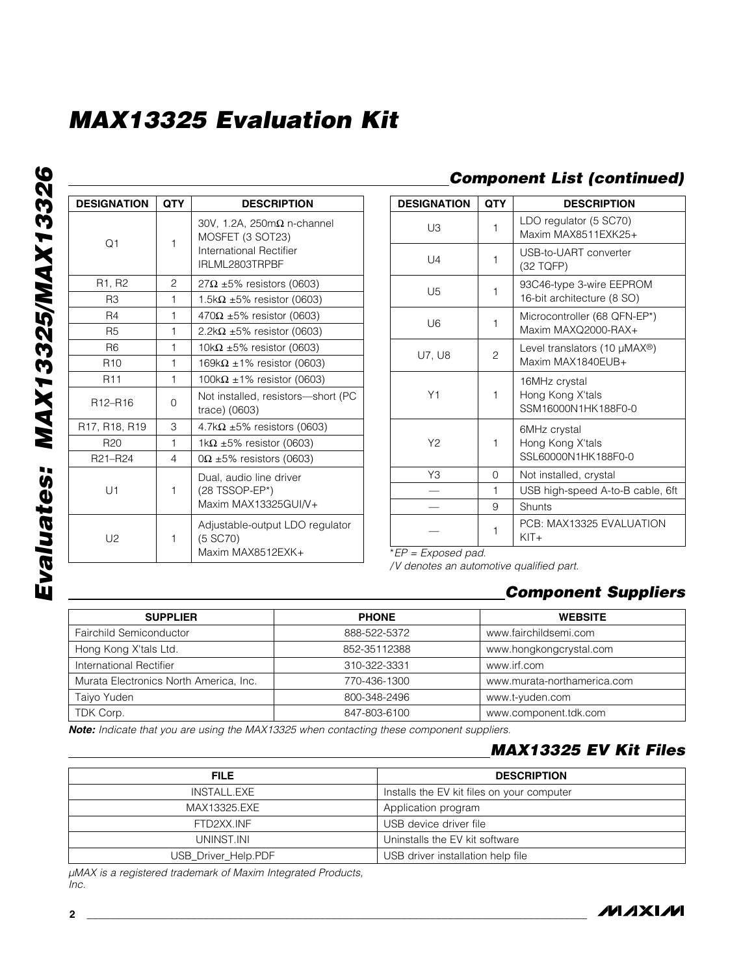| <b>DESIGNATION</b>               | <b>QTY</b>     | <b>DESCRIPTION</b>                                                                                         |
|----------------------------------|----------------|------------------------------------------------------------------------------------------------------------|
| O <sub>1</sub>                   | 1              | 30V, 1.2A, $250 \text{m}\Omega$ n-channel<br>MOSFET (3 SOT23)<br>International Rectifier<br>IRLML2803TRPBF |
| R1, R2                           | $\overline{c}$ | $27\Omega$ ±5% resistors (0603)                                                                            |
| R3                               | 1              | 1.5k $\Omega$ ±5% resistor (0603)                                                                          |
| R4                               | 1              | $470\Omega \pm 5\%$ resistor (0603)                                                                        |
| R <sub>5</sub>                   | 1              | 2.2k $\Omega$ ±5% resistor (0603)                                                                          |
| R <sub>6</sub>                   | 1              | 10k $\Omega$ ±5% resistor (0603)                                                                           |
| R <sub>10</sub>                  | 1              | 169k $\Omega$ ±1% resistor (0603)                                                                          |
| R <sub>11</sub>                  | 1              | 100k $\Omega$ ±1% resistor (0603)                                                                          |
| R <sub>12</sub> -R <sub>16</sub> | 0              | Not installed, resistors-short (PC<br>trace) (0603)                                                        |
| R17, R18, R19                    | 3              | 4.7k $\Omega$ ±5% resistors (0603)                                                                         |
| R <sub>20</sub>                  | 1              | 1k $\Omega$ ±5% resistor (0603)                                                                            |
| R21-R24                          | 4              | $0\Omega \pm 5\%$ resistors (0603)                                                                         |
| U1                               | 1              | Dual, audio line driver<br>(28 TSSOP-EP*)<br>Maxim MAX13325GUI/V+                                          |
| U2                               | 1              | Adjustable-output LDO regulator<br>(5 SC70)<br>Maxim MAX8512EXK+                                           |

### *Component List (continued)*

| <b>DESIGNATION</b> | QTY      | <b>DESCRIPTION</b>                                                  |
|--------------------|----------|---------------------------------------------------------------------|
| UЗ                 | 1        | LDO regulator (5 SC70)<br>Maxim MAX8511EXK25+                       |
| $  \,  $           | 1        | USB-to-UART converter<br>(32 TQFP)                                  |
| U5                 | 1        | 93C46-type 3-wire EEPROM<br>16-bit architecture (8 SO)              |
| U6                 | 1        | Microcontroller (68 QFN-EP*)<br>Maxim MAXQ2000-RAX+                 |
| U7. U8             | 2        | Level translators (10 $\mu$ MAX <sup>®</sup> )<br>Maxim MAX1840EUB+ |
| Y1                 | 1        | 16MHz crystal<br>Hong Kong X'tals<br>SSM16000N1HK188F0-0            |
| Y2                 | 1        | 6MHz crystal<br>Hong Kong X'tals<br>SSL60000N1HK188F0-0             |
| Y3                 | $\Omega$ | Not installed, crystal                                              |
|                    | 1        | USB high-speed A-to-B cable, 6ft                                    |
|                    | 9        | Shunts                                                              |
|                    | 1        | PCB: MAX13325 EVALUATION<br>$KIT+$                                  |

\**EP = Exposed pad.*

*/V denotes an automotive qualified part.*

## *Component Suppliers*

| <b>SUPPLIER</b>                        | <b>PHONE</b> | <b>WEBSITE</b>              |
|----------------------------------------|--------------|-----------------------------|
| Fairchild Semiconductor                | 888-522-5372 | www.fairchildsemi.com       |
| Hong Kong X'tals Ltd.                  | 852-35112388 | www.hongkongcrystal.com     |
| International Rectifier                | 310-322-3331 | www.irf.com                 |
| Murata Electronics North America, Inc. | 770-436-1300 | www.murata-northamerica.com |
| Taiyo Yuden                            | 800-348-2496 | www.t-yuden.com             |
| TDK Corp.                              | 847-803-6100 | www.component.tdk.com       |

*Note: Indicate that you are using the MAX13325 when contacting these component suppliers.*

### *MAX13325 EV Kit Files*

| <b>FILE</b>         | <b>DESCRIPTION</b>                         |
|---------------------|--------------------------------------------|
| INSTALL.EXE         | Installs the EV kit files on your computer |
| MAX13325.EXE        | Application program                        |
| FTD2XX INF          | USB device driver file                     |
| UNINST.INI          | Uninstalls the EV kit software             |
| USB_Driver_Help.PDF | USB driver installation help file          |

*µMAX is a registered trademark of Maxim Integrated Products, Inc.*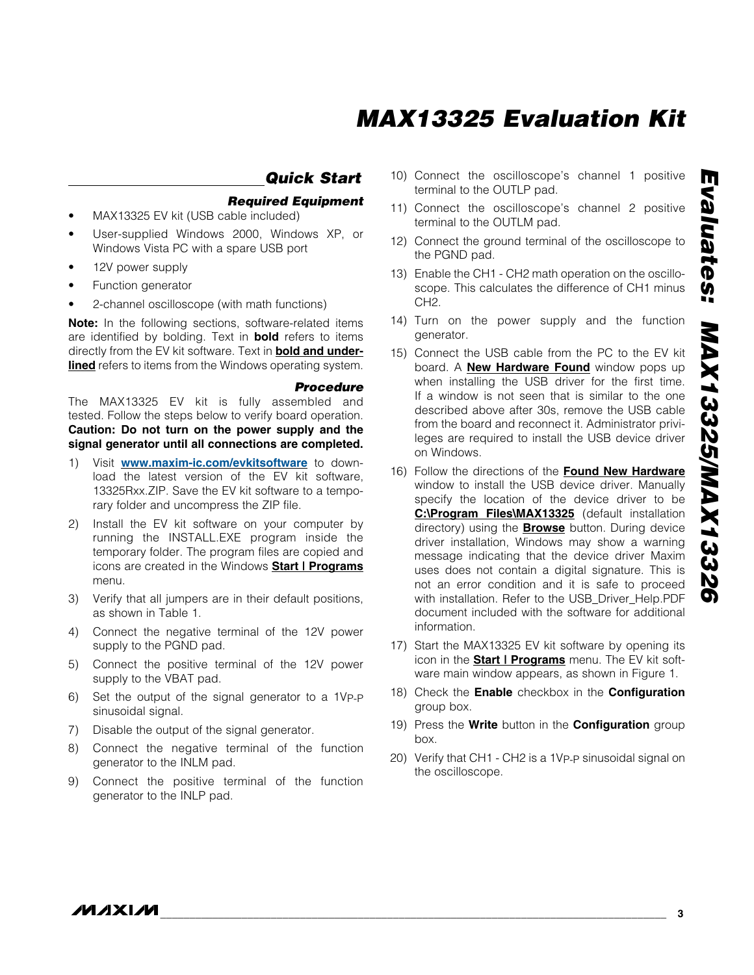### *Quick Start*

- *Required Equipment* MAX13325 EV kit (USB cable included)
- User-supplied Windows 2000, Windows XP, or Windows Vista PC with a spare USB port
- 12V power supply
- Function generator
- 2-channel oscilloscope (with math functions)

Note: In the following sections, software-related items are identified by bolding. Text in **bold** refers to items directly from the EV kit software. Text in **bold and underlined** refers to items from the Windows operating system.

#### *Procedure*

The MAX13325 EV kit is fully assembled and tested. Follow the steps below to verify board operation. Caution: Do not turn on the power supply and the signal generator until all connections are completed.

- 1) Visit www.maxim-ic.com/evkitsoftware to download the latest version of the EV kit software, 13325Rxx.ZIP. Save the EV kit software to a temporary folder and uncompress the ZIP file.
- 2) Install the EV kit software on your computer by running the INSTALL.EXE program inside the temporary folder. The program files are copied and icons are created in the Windows Start | Programs menu.
- 3) Verify that all jumpers are in their default positions, as shown in Table 1.
- 4) Connect the negative terminal of the 12V power supply to the PGND pad.
- 5) Connect the positive terminal of the 12V power supply to the VBAT pad.
- 6) Set the output of the signal generator to a 1VP-P sinusoidal signal.
- 7) Disable the output of the signal generator.
- 8) Connect the negative terminal of the function generator to the INLM pad.
- 9) Connect the positive terminal of the function generator to the INLP pad.
- 10) Connect the oscilloscope's channel 1 positive terminal to the OUTLP pad.
- 11) Connect the oscilloscope's channel 2 positive terminal to the OUTLM pad.
- 12) Connect the ground terminal of the oscilloscope to the PGND pad.
- 13) Enable the CH1 CH2 math operation on the oscilloscope. This calculates the difference of CH1 minus CH2.
- 14) Turn on the power supply and the function generator.
- 15) Connect the USB cable from the PC to the EV kit board. A **New Hardware Found** window pops up when installing the USB driver for the first time. If a window is not seen that is similar to the one described above after 30s, remove the USB cable from the board and reconnect it. Administrator privileges are required to install the USB device driver on Windows.
- 16) Follow the directions of the Found New Hardware window to install the USB device driver. Manually specify the location of the device driver to be C:\Program Files\MAX13325 (default installation directory) using the **Browse** button. During device driver installation, Windows may show a warning message indicating that the device driver Maxim uses does not contain a digital signature. This is not an error condition and it is safe to proceed with installation. Refer to the USB\_Driver\_Help.PDF document included with the software for additional information.
- 17) Start the MAX13325 EV kit software by opening its icon in the **Start | Programs** menu. The EV kit software main window appears, as shown in Figure 1.
- 18) Check the **Enable** checkbox in the **Configuration** group box.
- 19) Press the Write button in the Configuration group box.
- 20) Verify that CH1 CH2 is a 1VP-P sinusoidal signal on the oscilloscope.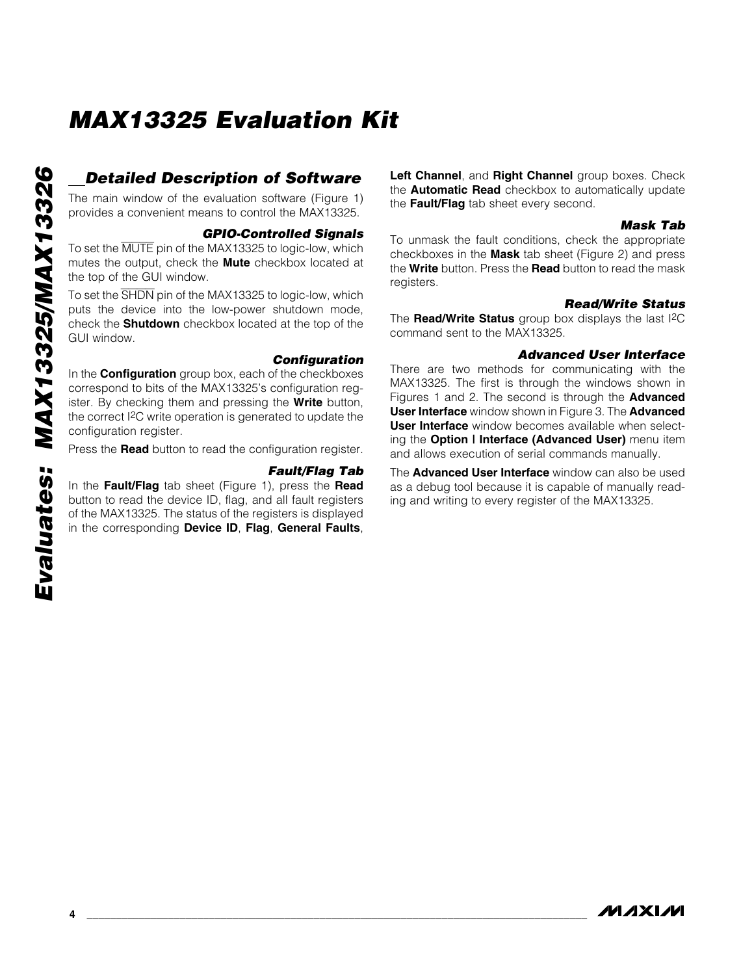### *Detailed Description of Software*

The main window of the evaluation software (Figure 1) provides a convenient means to control the MAX13325.

#### *GPIO-Controlled Signals*

To set the MUTE pin of the MAX13325 to logic-low, which mutes the output, check the **Mute** checkbox located at the top of the GUI window.

To set the SHDN pin of the MAX13325 to logic-low, which puts the device into the low-power shutdown mode, check the Shutdown checkbox located at the top of the GUI window.

#### *Configuration*

In the **Configuration** group box, each of the checkboxes correspond to bits of the MAX13325's configuration register. By checking them and pressing the **Write** button, the correct I2C write operation is generated to update the configuration register.

Press the Read button to read the configuration register.

*Fault/Flag Tab* In the Fault/Flag tab sheet (Figure 1), press the Read button to read the device ID, flag, and all fault registers of the MAX13325. The status of the registers is displayed in the corresponding Device ID, Flag, General Faults, Left Channel, and Right Channel group boxes. Check the **Automatic Read** checkbox to automatically update the Fault/Flag tab sheet every second.

#### *Mask Tab*

To unmask the fault conditions, check the appropriate checkboxes in the Mask tab sheet (Figure 2) and press the Write button. Press the Read button to read the mask registers.

#### *Read/Write Status*

The Read/Write Status group box displays the last I<sup>2</sup>C command sent to the MAX13325.

#### *Advanced User Interface*

There are two methods for communicating with the MAX13325. The first is through the windows shown in Figures 1 and 2. The second is through the **Advanced** User Interface window shown in Figure 3. The Advanced User Interface window becomes available when selecting the Option | Interface (Advanced User) menu item and allows execution of serial commands manually.

The **Advanced User Interface** window can also be used as a debug tool because it is capable of manually reading and writing to every register of the MAX13325.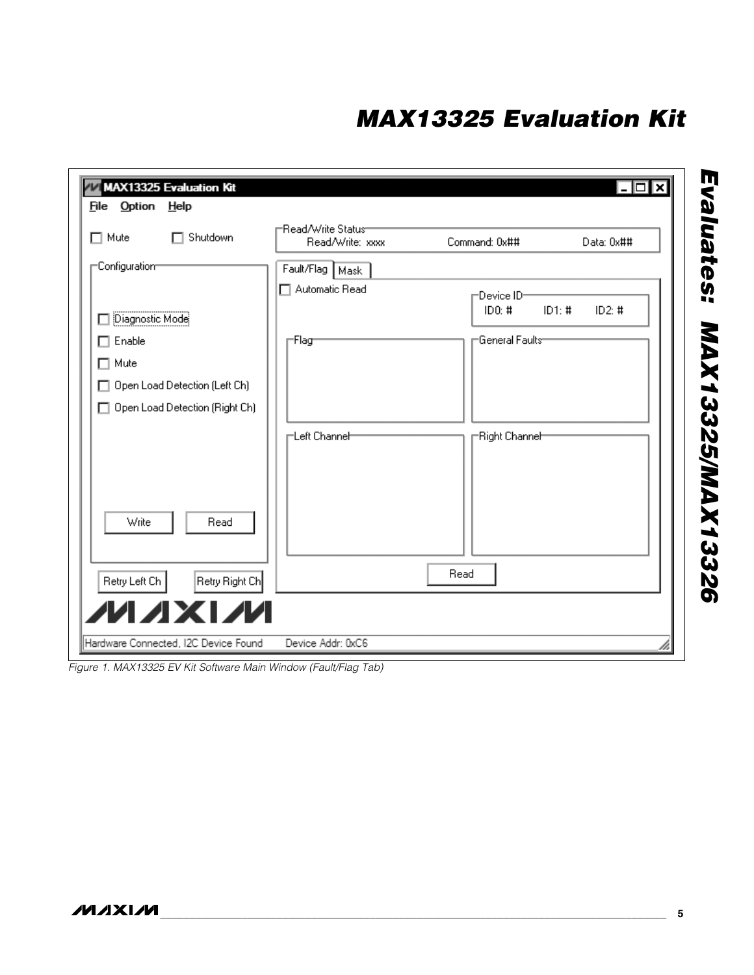| $\Box$ Mute               | Shutdown<br>п                  | i⊟Read/Write Status−<br>Read/Write: xxxx | Command: 0x##                    | Data: 0x## |
|---------------------------|--------------------------------|------------------------------------------|----------------------------------|------------|
| $\sqsubset$ Configuratiom |                                | Fault/Flag Mask<br>$\Box$ Automatic Read | ⊢Device ID                       |            |
| Diagnostic Mode           |                                |                                          | ID0: #<br>ID1: #                 | ID2: $#$   |
| $\Box$ Enable             |                                | ⊢Flag                                    | $\sqcap$ General Faults $\sqcap$ |            |
| $\Box$ Mute               |                                |                                          |                                  |            |
|                           | Open Load Detection (Left Ch)  |                                          |                                  |            |
| H                         | Open Load Detection (Right Ch) |                                          |                                  |            |
|                           |                                | <mark>⊢Left Channe</mark> ⊢              | -Right Channel-                  |            |
| Write                     | Read                           |                                          |                                  |            |
| Retry Left Ch             | Retry Right Ch                 |                                          | Read                             |            |

*Figure 1. MAX13325 EV Kit Software Main Window (Fault/Flag Tab)*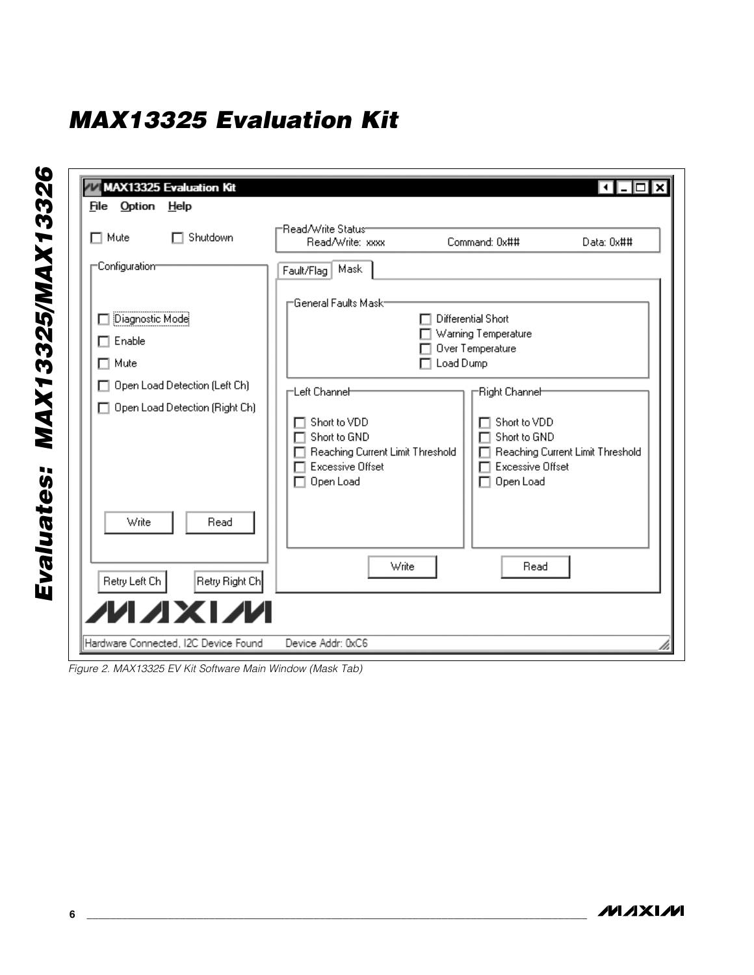| $\Box$ Mute                                     | Shutdown<br>п                  | r⊟ead/Write Status−<br>Read/Write: xxxx                                                                                   | Command: 0x##                                                                         | Data: 0x##                       |
|-------------------------------------------------|--------------------------------|---------------------------------------------------------------------------------------------------------------------------|---------------------------------------------------------------------------------------|----------------------------------|
| $\sqsubset$ Configuratiom                       |                                | Mask<br>Fault/Flag                                                                                                        |                                                                                       |                                  |
| Diagnostic Mode<br>$\Box$ Enable<br>$\Box$ Mute | Open Load Detection (Left Ch)  | General Faults Mask <sup>.</sup>                                                                                          | Differential Short<br>Warning Temperature<br>Over Temperature<br>Load Dump            |                                  |
|                                                 | Open Load Detection (Right Ch) | ⊢Left Channeh<br>Short to VDD<br>Short to GND<br>Reaching Current Limit Threshold<br><b>Excessive Offset</b><br>Open Load | Right Channeh<br>Short to VDD<br>Short to GND<br><b>Excessive Offset</b><br>Open Load | Reaching Current Limit Threshold |
| Write                                           | Read                           |                                                                                                                           |                                                                                       |                                  |
| Retry Left Ch                                   | Retry Right Ch                 | Write                                                                                                                     | Read                                                                                  |                                  |

*Figure 2. MAX13325 EV Kit Software Main Window (Mask Tab)*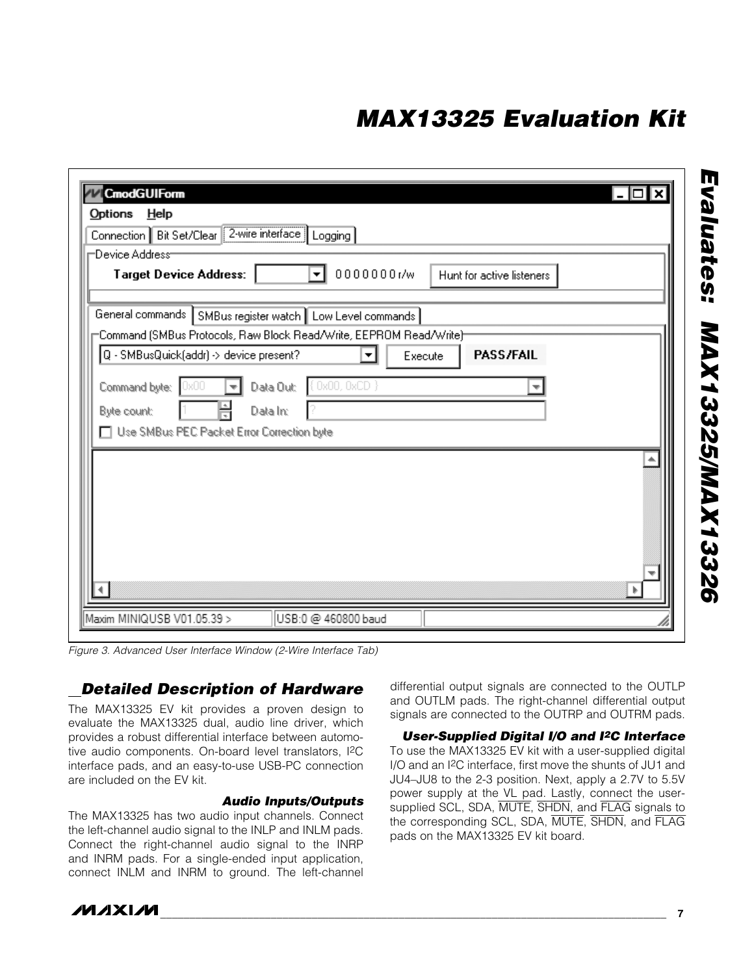| Help<br>Options<br>Connection Bit Set/Clear 2-wire interface   Logging                                          |                          |         |                           |  |
|-----------------------------------------------------------------------------------------------------------------|--------------------------|---------|---------------------------|--|
| "Device Address"<br><b>Target Device Address:</b>                                                               | 0000000r/w<br>▾          |         | Hunt for active listeners |  |
| General commands SMBus register watch Low Level commands                                                        |                          |         |                           |  |
| "Command (SMBus Protocols, Raw Block Read/Write, EEPROM Read/Write)"<br>Q - SMBusQuick(addr) -> device present? | $\blacktriangledown$     | Execute | <b>PASS/FAIL</b>          |  |
| Command byte:<br>0x00                                                                                           | (0x00,0xCD)<br>Data Out: |         |                           |  |
| Byte count:                                                                                                     | Data In:                 |         |                           |  |
| Use SMBus PEC Packet Error Correction byte                                                                      |                          |         |                           |  |
|                                                                                                                 |                          |         |                           |  |
|                                                                                                                 |                          |         |                           |  |
|                                                                                                                 |                          |         |                           |  |
|                                                                                                                 |                          |         |                           |  |
|                                                                                                                 |                          |         |                           |  |
|                                                                                                                 |                          |         |                           |  |
| Maxim MINIQUSB V01.05.39 >                                                                                      | USB:0 @ 460800 baud      |         |                           |  |

*Figure 3. Advanced User Interface Window (2-Wire Interface Tab)*

### *Detailed Description of Hardware*

The MAX13325 EV kit provides a proven design to evaluate the MAX13325 dual, audio line driver, which provides a robust differential interface between automotive audio components. On-board level translators, I2C interface pads, and an easy-to-use USB-PC connection are included on the EV kit.

#### *Audio Inputs/Outputs*

The MAX13325 has two audio input channels. Connect the left-channel audio signal to the INLP and INLM pads. Connect the right-channel audio signal to the INRP and INRM pads. For a single-ended input application, connect INLM and INRM to ground. The left-channel differential output signals are connected to the OUTLP and OUTLM pads. The right-channel differential output signals are connected to the OUTRP and OUTRM pads.

*User-Supplied Digital I/O and I2C Interface* To use the MAX13325 EV kit with a user-supplied digital I/O and an I2C interface, first move the shunts of JU1 and JU4–JU8 to the 2-3 position. Next, apply a 2.7V to 5.5V power supply at the VL pad. Lastly, connect the usersupplied SCL, SDA, MUTE, SHDN, and FLAG signals to the corresponding SCL, SDA, MUTE, SHDN, and FLAG pads on the MAX13325 EV kit board.

*Evaluates: MAX13325/MAX13326* Evaluates: MAX13325/MAX13326

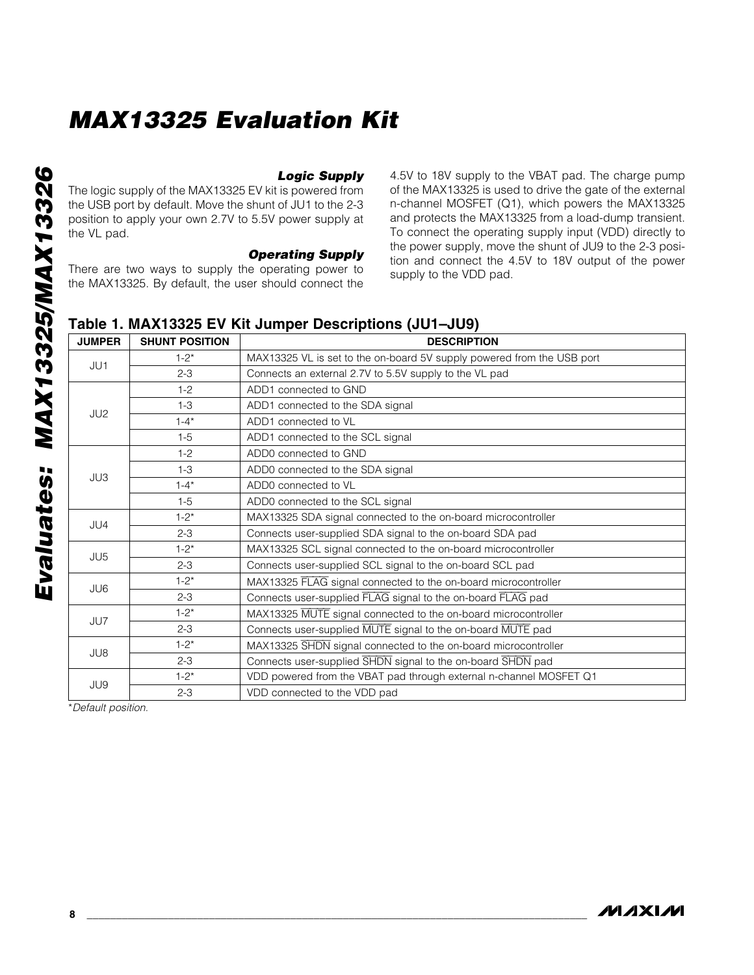*Logic Supply* The logic supply of the MAX13325 EV kit is powered from the USB port by default. Move the shunt of JU1 to the 2-3 position to apply your own 2.7V to 5.5V power supply at the VL pad.

#### *Operating Supply*

There are two ways to supply the operating power to the MAX13325. By default, the user should connect the 4.5V to 18V supply to the VBAT pad. The charge pump of the MAX13325 is used to drive the gate of the external n-channel MOSFET (Q1), which powers the MAX13325 and protects the MAX13325 from a load-dump transient. To connect the operating supply input (VDD) directly to the power supply, move the shunt of JU9 to the 2-3 position and connect the 4.5V to 18V output of the power supply to the VDD pad.

### Table 1. MAX13325 EV Kit Jumper Descriptions (JU1–JU9)

| <b>JUMPER</b>   | <b>SHUNT POSITION</b> | <b>DESCRIPTION</b>                                                     |
|-----------------|-----------------------|------------------------------------------------------------------------|
| JU1             | $1 - 2^*$             | MAX13325 VL is set to the on-board 5V supply powered from the USB port |
|                 | $2 - 3$               | Connects an external 2.7V to 5.5V supply to the VL pad                 |
|                 | $1-2$                 | ADD1 connected to GND                                                  |
| JU2             | $1 - 3$               | ADD1 connected to the SDA signal                                       |
|                 | $1 - 4^*$             | ADD1 connected to VL                                                   |
|                 | $1-5$                 | ADD1 connected to the SCL signal                                       |
|                 | $1-2$                 | ADD0 connected to GND                                                  |
|                 | $1 - 3$               | ADD0 connected to the SDA signal                                       |
| JU3             | $1 - 4*$              | ADD0 connected to VL                                                   |
|                 | $1 - 5$               | ADD0 connected to the SCL signal                                       |
| JU4             | $1 - 2^*$             | MAX13325 SDA signal connected to the on-board microcontroller          |
|                 | $2 - 3$               | Connects user-supplied SDA signal to the on-board SDA pad              |
| JU <sub>5</sub> | $1 - 2^*$             | MAX13325 SCL signal connected to the on-board microcontroller          |
|                 | $2 - 3$               | Connects user-supplied SCL signal to the on-board SCL pad              |
| JU6             | $1 - 2^*$             | MAX13325 FLAG signal connected to the on-board microcontroller         |
|                 | $2 - 3$               | Connects user-supplied FLAG signal to the on-board FLAG pad            |
| JU7             | $1 - 2^*$             | MAX13325 MUTE signal connected to the on-board microcontroller         |
|                 | $2 - 3$               | Connects user-supplied MUTE signal to the on-board MUTE pad            |
| JU8             | $1 - 2^*$             | MAX13325 SHDN signal connected to the on-board microcontroller         |
|                 | $2 - 3$               | Connects user-supplied SHDN signal to the on-board SHDN pad            |
| JU9             | $1 - 2^{*}$           | VDD powered from the VBAT pad through external n-channel MOSFET Q1     |
|                 | $2 - 3$               | VDD connected to the VDD pad                                           |

\**Default position.*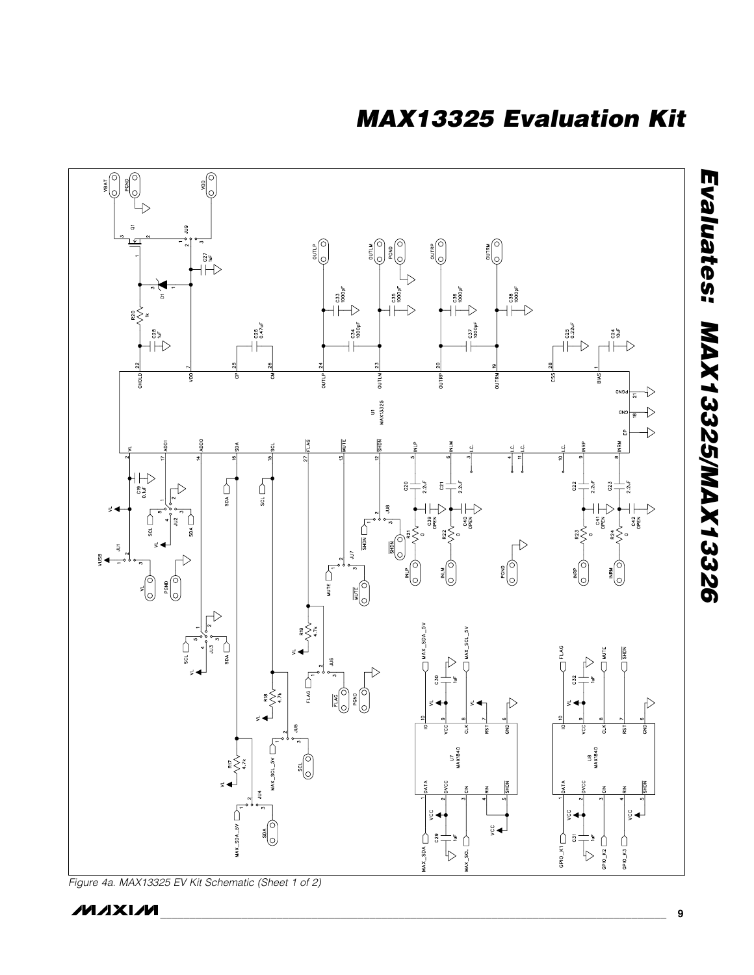

*Figure 4a. MAX13325 EV Kit Schematic (Sheet 1 of 2)*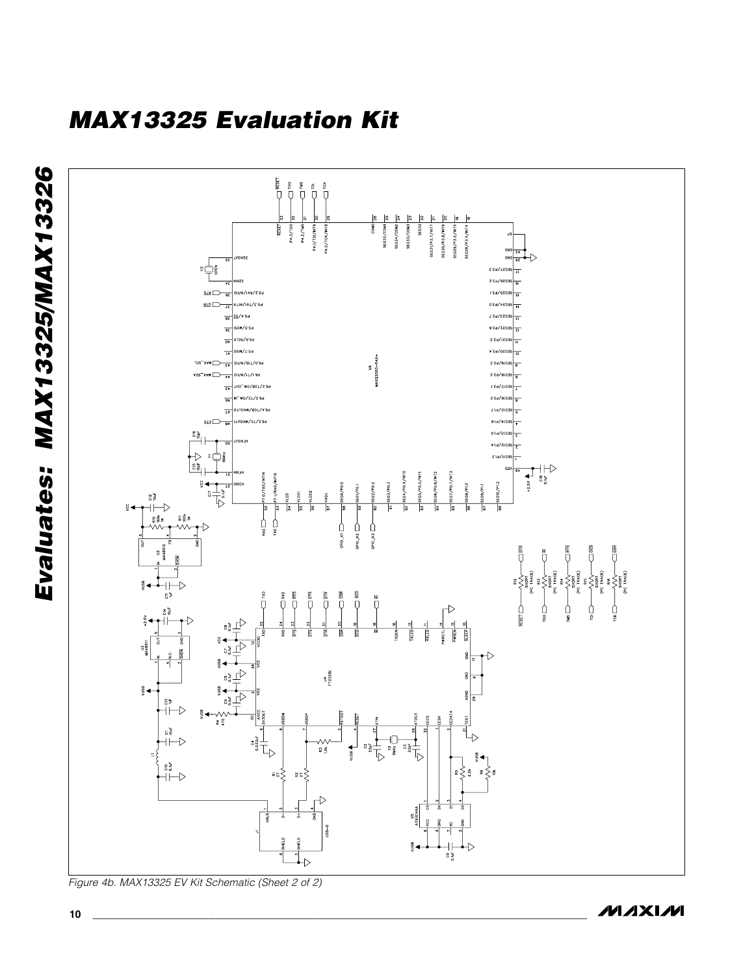

**MAXIM**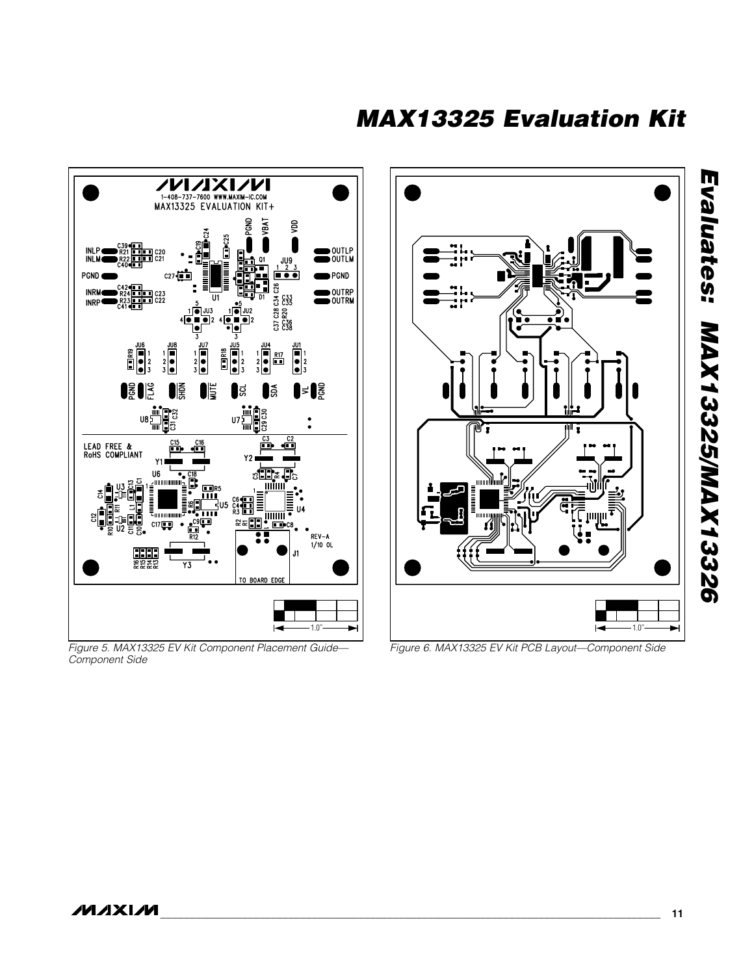*MAX13325 Evaluation Kit*



*Figure 5. MAX13325 EV Kit Component Placement Guide— Component Side*



*Figure 6. MAX13325 EV Kit PCB Layout—Component Side*